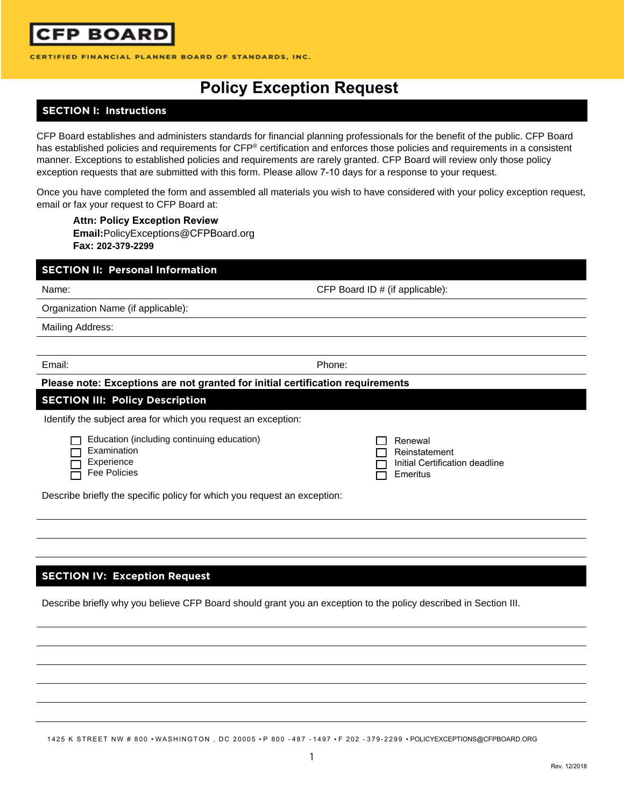

CERTIFIED FINANCIAL PLANNER BOARD OF STANDARDS, INC.

# **Policy Exception Request**

### **SECTION I: Instructions**

CFP Board establishes and administers standards for financial planning professionals for the benefit of the public. CFP Board has established policies and requirements for CFP<sup>®</sup> certification and enforces those policies and requirements in a consistent manner. Exceptions to established policies and requirements are rarely granted. CFP Board will review only those policy exception requests that are submitted with this form. Please allow 7-10 days for a response to your request.

Once you have completed the form and assembled all materials you wish to have considered with your policy exception request, email or fax your request to CFP Board at:

**Attn: Policy Exception Review Email:**PolicyExceptions@CFPBoard.org **Fax: 202-379-2299**

| <b>SECTION II: Personal Information</b>                                                                                                                                    |                                                                        |  |
|----------------------------------------------------------------------------------------------------------------------------------------------------------------------------|------------------------------------------------------------------------|--|
| Name:                                                                                                                                                                      | CFP Board ID # (if applicable):                                        |  |
| Organization Name (if applicable):                                                                                                                                         |                                                                        |  |
| <b>Mailing Address:</b>                                                                                                                                                    |                                                                        |  |
|                                                                                                                                                                            |                                                                        |  |
| Email:                                                                                                                                                                     | Phone:                                                                 |  |
| Please note: Exceptions are not granted for initial certification requirements                                                                                             |                                                                        |  |
| <b>SECTION III: Policy Description</b>                                                                                                                                     |                                                                        |  |
| Identify the subject area for which you request an exception:                                                                                                              |                                                                        |  |
| Education (including continuing education)<br>Examination<br>Experience<br><b>Fee Policies</b><br>Describe briefly the specific policy for which you request an exception: | Renewal<br>Reinstatement<br>Initial Certification deadline<br>Emeritus |  |
|                                                                                                                                                                            |                                                                        |  |
|                                                                                                                                                                            |                                                                        |  |

#### **SECTION IV: Exception Request**

Describe briefly why you believe CFP Board should grant you an exception to the policy described in Section III.

1425 K STREET NW # 800 · WASHINGTON, DC 20005 · P 800 - 487 - 1497 · F 202 - 379-2299 · POLICYEXCEPTIONS@CFPBOARD.ORG